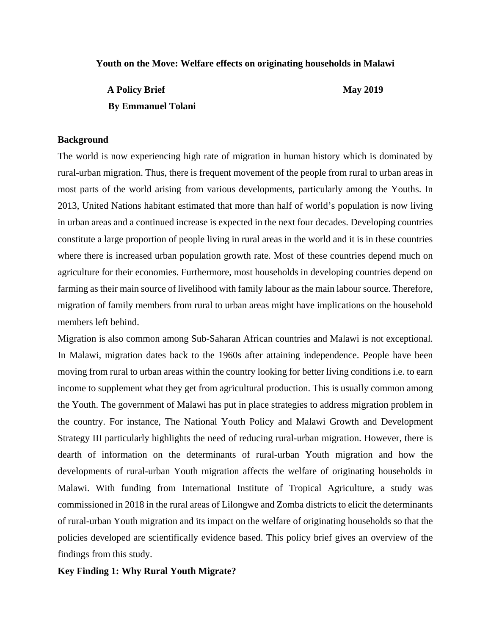#### **Youth on the Move: Welfare effects on originating households in Malawi**

A Policy Brief May 2019  **By Emmanuel Tolani**

#### **Background**

The world is now experiencing high rate of migration in human history which is dominated by rural-urban migration. Thus, there is frequent movement of the people from rural to urban areas in most parts of the world arising from various developments, particularly among the Youths. In 2013, United Nations habitant estimated that more than half of world's population is now living in urban areas and a continued increase is expected in the next four decades. Developing countries constitute a large proportion of people living in rural areas in the world and it is in these countries where there is increased urban population growth rate. Most of these countries depend much on agriculture for their economies. Furthermore, most households in developing countries depend on farming as their main source of livelihood with family labour as the main labour source. Therefore, migration of family members from rural to urban areas might have implications on the household members left behind.

Migration is also common among Sub-Saharan African countries and Malawi is not exceptional. In Malawi, migration dates back to the 1960s after attaining independence. People have been moving from rural to urban areas within the country looking for better living conditions i.e. to earn income to supplement what they get from agricultural production. This is usually common among the Youth. The government of Malawi has put in place strategies to address migration problem in the country. For instance, The National Youth Policy and Malawi Growth and Development Strategy III particularly highlights the need of reducing rural-urban migration. However, there is dearth of information on the determinants of rural-urban Youth migration and how the developments of rural-urban Youth migration affects the welfare of originating households in Malawi. With funding from International Institute of Tropical Agriculture, a study was commissioned in 2018 in the rural areas of Lilongwe and Zomba districts to elicit the determinants of rural-urban Youth migration and its impact on the welfare of originating households so that the policies developed are scientifically evidence based. This policy brief gives an overview of the findings from this study.

#### **Key Finding 1: Why Rural Youth Migrate?**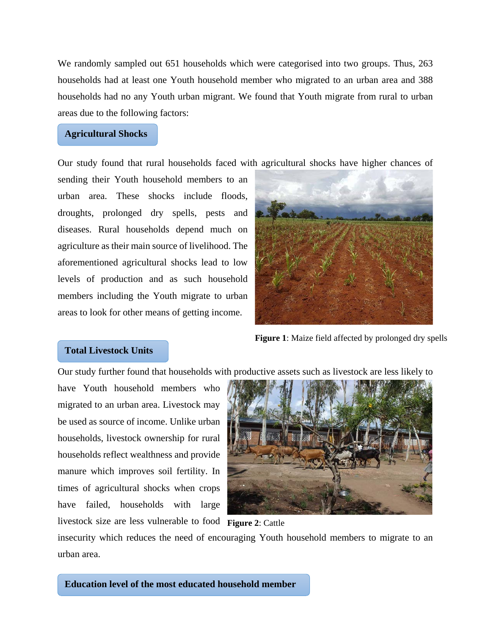We randomly sampled out 651 households which were categorised into two groups. Thus, 263 households had at least one Youth household member who migrated to an urban area and 388 households had no any Youth urban migrant. We found that Youth migrate from rural to urban areas due to the following factors:

## **Agricultural Shocks**

Our study found that rural households faced with agricultural shocks have higher chances of

sending their Youth household members to an urban area. These shocks include floods, droughts, prolonged dry spells, pests and diseases. Rural households depend much on agriculture as their main source of livelihood. The aforementioned agricultural shocks lead to low levels of production and as such household members including the Youth migrate to urban areas to look for other means of getting income.



**Figure 1**: Maize field affected by prolonged dry spells

## **Total Livestock Units**

Our study further found that households with productive assets such as livestock are less likely to

have Youth household members who migrated to an urban area. Livestock may be used as source of income. Unlike urban households, livestock ownership for rural households reflect wealthness and provide manure which improves soil fertility. In times of agricultural shocks when crops have failed, households with large livestock size are less vulnerable to food **Figure 2**: Cattle



insecurity which reduces the need of encouraging Youth household members to migrate to an urban area.

**Education level of the most educated household member**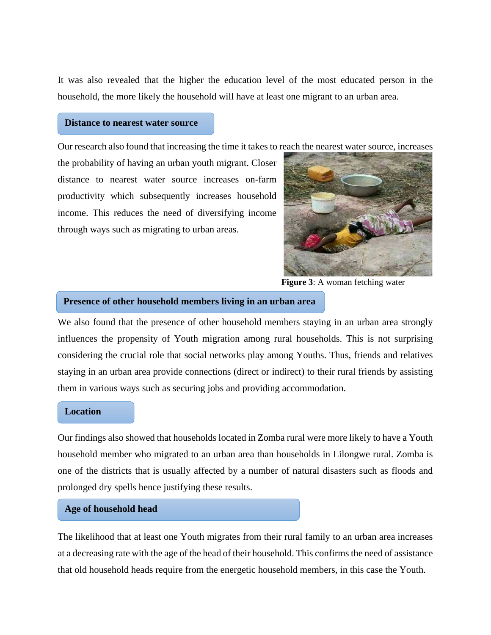It was also revealed that the higher the education level of the most educated person in the household, the more likely the household will have at least one migrant to an urban area.

## **Distance to nearest water source**

Our research also found that increasing the time it takes to reach the nearest water source, increases

the probability of having an urban youth migrant. Closer distance to nearest water source increases on-farm productivity which subsequently increases household income. This reduces the need of diversifying income through ways such as migrating to urban areas.



**Figure 3**: A woman fetching water

#### **Presence of other household members living in an urban area**

We also found that the presence of other household members staying in an urban area strongly influences the propensity of Youth migration among rural households. This is not surprising considering the crucial role that social networks play among Youths. Thus, friends and relatives staying in an urban area provide connections (direct or indirect) to their rural friends by assisting them in various ways such as securing jobs and providing accommodation.

### **Location**

Our findings also showed that households located in Zomba rural were more likely to have a Youth household member who migrated to an urban area than households in Lilongwe rural. Zomba is one of the districts that is usually affected by a number of natural disasters such as floods and prolonged dry spells hence justifying these results.

## **Age of household head**

The likelihood that at least one Youth migrates from their rural family to an urban area increases at a decreasing rate with the age of the head of their household. This confirms the need of assistance that old household heads require from the energetic household members, in this case the Youth.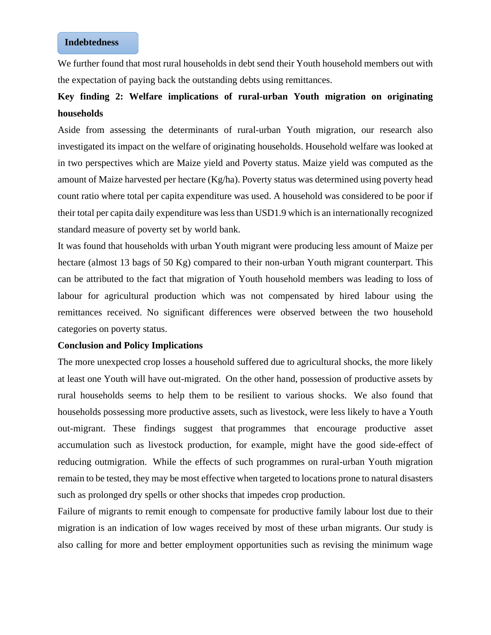## **Indebtedness**

We further found that most rural households in debt send their Youth household members out with the expectation of paying back the outstanding debts using remittances.

# **Key finding 2: Welfare implications of rural-urban Youth migration on originating households**

Aside from assessing the determinants of rural-urban Youth migration, our research also investigated its impact on the welfare of originating households. Household welfare was looked at in two perspectives which are Maize yield and Poverty status. Maize yield was computed as the amount of Maize harvested per hectare (Kg/ha). Poverty status was determined using poverty head count ratio where total per capita expenditure was used. A household was considered to be poor if their total per capita daily expenditure was less than USD1.9 which is an internationally recognized standard measure of poverty set by world bank.

It was found that households with urban Youth migrant were producing less amount of Maize per hectare (almost 13 bags of 50 Kg) compared to their non-urban Youth migrant counterpart. This can be attributed to the fact that migration of Youth household members was leading to loss of labour for agricultural production which was not compensated by hired labour using the remittances received. No significant differences were observed between the two household categories on poverty status.

## **Conclusion and Policy Implications**

The more unexpected crop losses a household suffered due to agricultural shocks, the more likely at least one Youth will have out-migrated. On the other hand, possession of productive assets by rural households seems to help them to be resilient to various shocks. We also found that households possessing more productive assets, such as livestock, were less likely to have a Youth out-migrant. These findings suggest that programmes that encourage productive asset accumulation such as livestock production, for example, might have the good side-effect of reducing outmigration. While the effects of such programmes on rural-urban Youth migration remain to be tested, they may be most effective when targeted to locations prone to natural disasters such as prolonged dry spells or other shocks that impedes crop production.

Failure of migrants to remit enough to compensate for productive family labour lost due to their migration is an indication of low wages received by most of these urban migrants. Our study is also calling for more and better employment opportunities such as revising the minimum wage